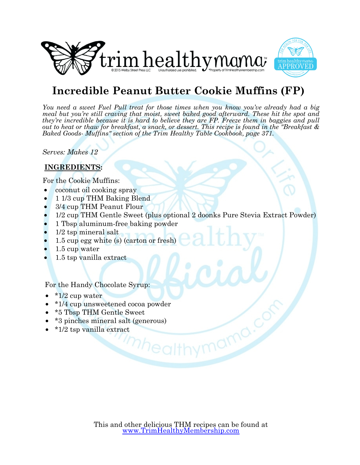



## **Incredible Peanut Butter Cookie Muffins (FP)**

*You need a sweet Fuel Pull treat for those times when you know you've already had a big meal but you're still craving that moist, sweet baked good afterward. These hit the spot and they're incredible because it is hard to believe they are FP. Freeze them in baggies and pull out to heat or thaw for breakfast, a snack, or dessert. This recipe is found in the "Breakfast & Baked Goods- Muffins" section of the Trim Healthy Table Cookbook, page 371.*

*Serves: Makes 12*

### **INGREDIENTS:**

For the Cookie Muffins:

- coconut oil cooking spray
- 1 1/3 cup THM Baking Blend
- 3/4 cup THM Peanut Flour
- 1/2 cup THM Gentle Sweet (plus optional 2 doonks Pure Stevia Extract Powder)
- 1 Tbsp aluminum-free baking powder
- 1/2 tsp mineral salt
- 1.5 cup egg white (s) (carton or fresh)
- 1.5 cup water
- 1.5 tsp vanilla extract

For the Handy Chocolate Syrup:

- $\bullet$  \*1/2 cup water
- \*1/4 cup unsweetened cocoa powder
- \*5 Tbsp THM Gentle Sweet
- \*3 pinches mineral salt (generous)
- \*1/2 tsp vanilla extract

'<sup>mhealth</sup>

nymama.c